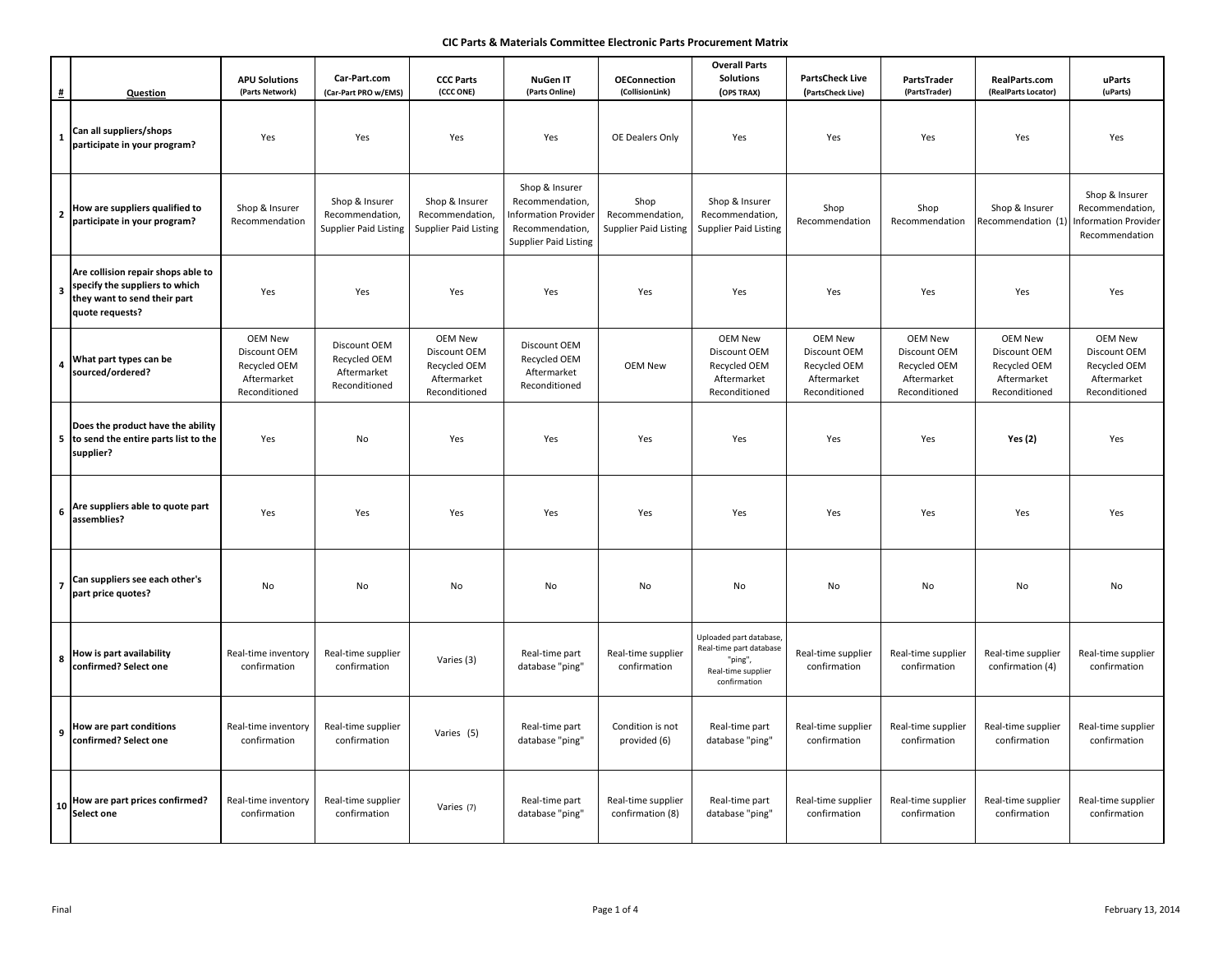# **CIC Parts & Materials Committee Electronic Parts Procurement Matrix**

| $\pmb{\sharp}$          | <b>Question</b>                                                                                                         | <b>APU Solutions</b><br>(Parts Network)                                        | Car-Part.com<br>(Car-Part PRO w/EMS)                              | <b>CCC Parts</b><br>(CCC ONE)                                                  | <b>NuGen IT</b><br>(Parts Online)                                                                            | <b>OEConnection</b><br>(CollisionLink)                  | <b>Overall Parts</b><br><b>Solutions</b><br>(OPS TRAX)                                             | <b>PartsCheck Live</b><br>(PartsCheck Live)                                    | PartsTrader<br>(PartsTrader)                                                   | RealParts.com<br>(RealParts Locator)                                           | uParts<br>(uParts)                                                                 |
|-------------------------|-------------------------------------------------------------------------------------------------------------------------|--------------------------------------------------------------------------------|-------------------------------------------------------------------|--------------------------------------------------------------------------------|--------------------------------------------------------------------------------------------------------------|---------------------------------------------------------|----------------------------------------------------------------------------------------------------|--------------------------------------------------------------------------------|--------------------------------------------------------------------------------|--------------------------------------------------------------------------------|------------------------------------------------------------------------------------|
| $\mathbf 1$             | Can all suppliers/shops                                                                                                 |                                                                                |                                                                   |                                                                                |                                                                                                              |                                                         |                                                                                                    |                                                                                |                                                                                |                                                                                |                                                                                    |
|                         | participate in your program?                                                                                            | Yes                                                                            | Yes                                                               | Yes                                                                            | Yes                                                                                                          | OE Dealers Only                                         | Yes                                                                                                | Yes                                                                            | Yes                                                                            | Yes                                                                            | Yes                                                                                |
|                         | 2 How are suppliers qualified to<br>participate in your program?                                                        | Shop & Insurer<br>Recommendation                                               | Shop & Insurer<br>Recommendation,<br><b>Supplier Paid Listing</b> | Shop & Insurer<br>Recommendation,<br><b>Supplier Paid Listing</b>              | Shop & Insurer<br>Recommendation,<br>Information Provider<br>Recommendation,<br><b>Supplier Paid Listing</b> | Shop<br>Recommendation,<br><b>Supplier Paid Listing</b> | Shop & Insurer<br>Recommendation,<br><b>Supplier Paid Listing</b>                                  | Shop<br>Recommendation                                                         | Shop<br>Recommendation                                                         | Shop & Insurer<br>Recommendation (1)                                           | Shop & Insurer<br>Recommendation,<br><b>Information Provider</b><br>Recommendation |
|                         | Are collision repair shops able to<br>specify the suppliers to which<br>they want to send their part<br>quote requests? | Yes                                                                            | Yes                                                               | Yes                                                                            | Yes                                                                                                          | Yes                                                     | Yes                                                                                                | Yes                                                                            | Yes                                                                            | Yes                                                                            | Yes                                                                                |
| $\overline{\mathbf{4}}$ | What part types can be<br>sourced/ordered?                                                                              | <b>OEM New</b><br>Discount OEM<br>Recycled OEM<br>Aftermarket<br>Reconditioned | Discount OEM<br>Recycled OEM<br>Aftermarket<br>Reconditioned      | <b>OEM New</b><br>Discount OEM<br>Recycled OEM<br>Aftermarket<br>Reconditioned | Discount OEM<br>Recycled OEM<br>Aftermarket<br>Reconditioned                                                 | <b>OEM New</b>                                          | <b>OEM New</b><br>Discount OEM<br>Recycled OEM<br>Aftermarket<br>Reconditioned                     | <b>OEM New</b><br>Discount OEM<br>Recycled OEM<br>Aftermarket<br>Reconditioned | <b>OEM New</b><br>Discount OEM<br>Recycled OEM<br>Aftermarket<br>Reconditioned | <b>OEM New</b><br>Discount OEM<br>Recycled OEM<br>Aftermarket<br>Reconditioned | <b>OEM New</b><br>Discount OEM<br>Recycled OEM<br>Aftermarket<br>Reconditioned     |
|                         | Does the product have the ability<br>5 to send the entire parts list to the<br>supplier?                                | Yes                                                                            | No                                                                | Yes                                                                            | Yes                                                                                                          | Yes                                                     | Yes                                                                                                | Yes                                                                            | Yes                                                                            | <b>Yes (2)</b>                                                                 | Yes                                                                                |
|                         | 6 Are suppliers able to quote part<br>assemblies?                                                                       | Yes                                                                            | Yes                                                               | Yes                                                                            | Yes                                                                                                          | Yes                                                     | Yes                                                                                                | Yes                                                                            | Yes                                                                            | Yes                                                                            | Yes                                                                                |
| $\pmb{7}$               | Can suppliers see each other's<br>part price quotes?                                                                    | No                                                                             | No                                                                | No                                                                             | No                                                                                                           | No                                                      | No                                                                                                 | No                                                                             | No                                                                             | No                                                                             | No                                                                                 |
| 8                       | How is part availability<br>confirmed? Select one                                                                       | Real-time inventory<br>confirmation                                            | Real-time supplier<br>confirmation                                | Varies (3)                                                                     | Real-time part<br>database "ping"                                                                            | Real-time supplier<br>confirmation                      | Uploaded part database<br>Real-time part database<br>"ping",<br>Real-time supplier<br>confirmation | Real-time supplier<br>confirmation                                             | Real-time supplier<br>confirmation                                             | Real-time supplier<br>confirmation (4)                                         | Real-time supplier<br>confirmation                                                 |
|                         | 9 How are part conditions<br>confirmed? Select one                                                                      | Real-time inventory<br>confirmation                                            | Real-time supplier<br>confirmation                                | Varies (5)                                                                     | Real-time part<br>database "ping"                                                                            | Condition is not<br>provided (6)                        | Real-time part<br>database "ping"                                                                  | Real-time supplier<br>confirmation                                             | Real-time supplier<br>confirmation                                             | Real-time supplier<br>confirmation                                             | Real-time supplier<br>confirmation                                                 |
|                         | 10 How are part prices confirmed?<br>Select one                                                                         | Real-time inventory<br>confirmation                                            | Real-time supplier<br>confirmation                                | Varies (7)                                                                     | Real-time part<br>database "ping"                                                                            | Real-time supplier<br>confirmation (8)                  | Real-time part<br>database "ping'                                                                  | Real-time supplier<br>confirmation                                             | Real-time supplier<br>confirmation                                             | Real-time supplier<br>confirmation                                             | Real-time supplier<br>confirmation                                                 |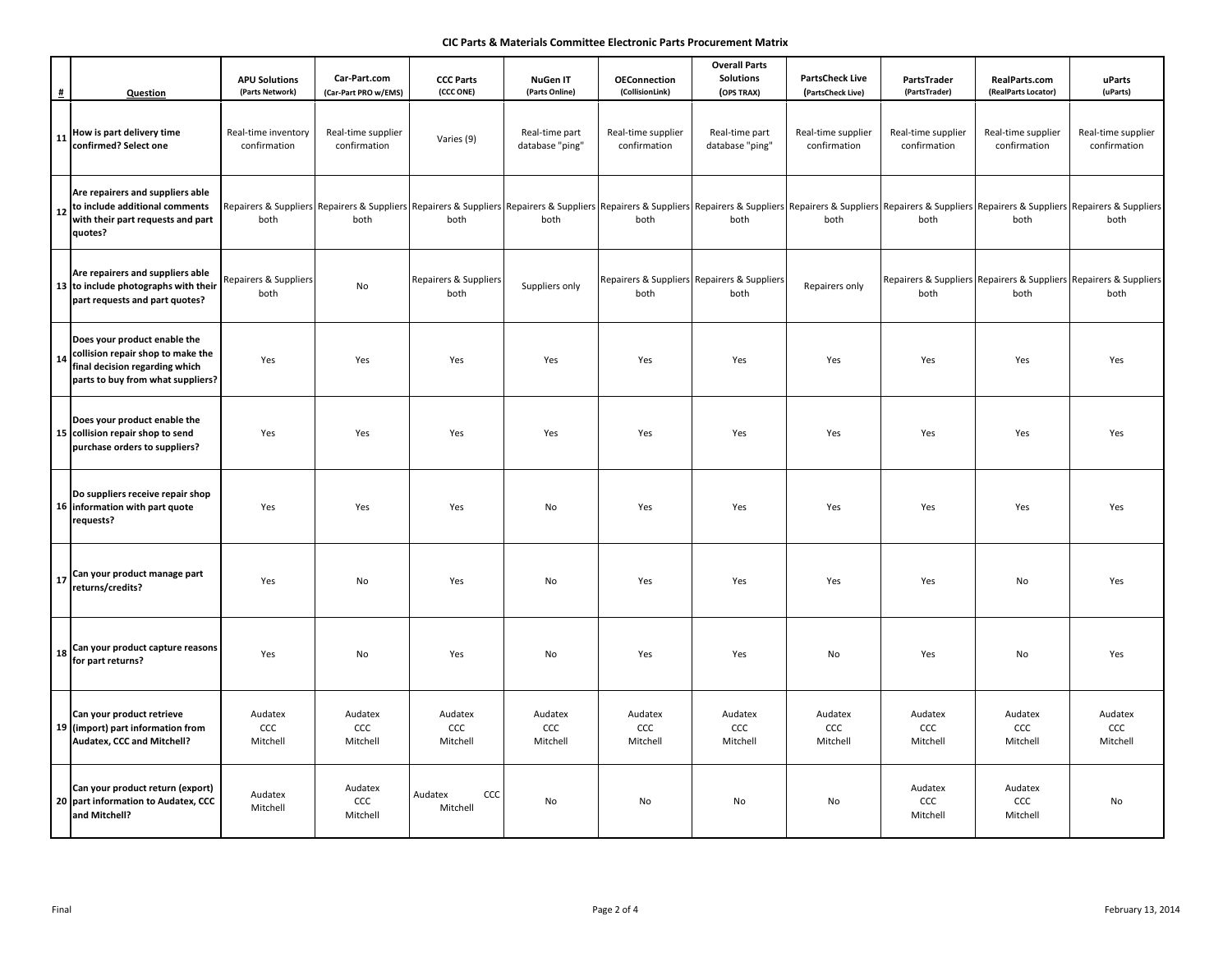# **CIC Parts & Materials Committee Electronic Parts Procurement Matrix**

| #          | Question                                                                                                                                 | <b>APU Solutions</b><br>(Parts Network) | Car-Part.com<br>(Car-Part PRO w/EMS) | <b>CCC Parts</b><br>(CCC ONE) | <b>NuGen IT</b><br>(Parts Online) | <b>OEConnection</b><br>(CollisionLink) | <b>Overall Parts</b><br><b>Solutions</b><br>(OPS TRAX) | <b>PartsCheck Live</b><br>(PartsCheck Live) | PartsTrader<br>(PartsTrader)       | RealParts.com<br>(RealParts Locator) | uParts<br>(uParts)                                                                                                                                                                                                                     |
|------------|------------------------------------------------------------------------------------------------------------------------------------------|-----------------------------------------|--------------------------------------|-------------------------------|-----------------------------------|----------------------------------------|--------------------------------------------------------|---------------------------------------------|------------------------------------|--------------------------------------|----------------------------------------------------------------------------------------------------------------------------------------------------------------------------------------------------------------------------------------|
|            | 11 How is part delivery time<br>confirmed? Select one                                                                                    | Real-time inventory<br>confirmation     | Real-time supplier<br>confirmation   | Varies (9)                    | Real-time part<br>database "ping" | Real-time supplier<br>confirmation     | Real-time part<br>database "ping"                      | Real-time supplier<br>confirmation          | Real-time supplier<br>confirmation | Real-time supplier<br>confirmation   | Real-time supplier<br>confirmation                                                                                                                                                                                                     |
| ${\bf 12}$ | Are repairers and suppliers able<br>to include additional comments<br>with their part requests and part<br>quotes?                       | both                                    | both                                 | both                          | both                              | both                                   | both                                                   | both                                        | both                               | both                                 | Repairers & Suppliers Repairers & Suppliers Repairers & Suppliers Repairers & Suppliers Repairers & Suppliers Repairers & Suppliers Repairers & Suppliers Repairers & Suppliers Repairers & Suppliers Repairers & Suppliers Re<br>both |
|            | Are repairers and suppliers able<br>13 to include photographs with their<br>part requests and part quotes?                               | Repairers & Suppliers<br>both           | No                                   | Repairers & Suppliers<br>both | Suppliers only                    | both                                   | Repairers & Suppliers Repairers & Suppliers<br>both    | Repairers only                              | both                               | both                                 | Repairers & Suppliers Repairers & Suppliers Repairers & Suppliers<br>both                                                                                                                                                              |
| 14         | Does your product enable the<br>collision repair shop to make the<br>final decision regarding which<br>parts to buy from what suppliers? | Yes                                     | Yes                                  | Yes                           | Yes                               | Yes                                    | Yes                                                    | Yes                                         | Yes                                | Yes                                  | Yes                                                                                                                                                                                                                                    |
|            | Does your product enable the<br>15 collision repair shop to send<br>purchase orders to suppliers?                                        | Yes                                     | Yes                                  | Yes                           | Yes                               | Yes                                    | Yes                                                    | Yes                                         | Yes                                | Yes                                  | Yes                                                                                                                                                                                                                                    |
|            | Do suppliers receive repair shop<br>16 information with part quote<br>requests?                                                          | Yes                                     | Yes                                  | Yes                           | No                                | Yes                                    | Yes                                                    | Yes                                         | Yes                                | Yes                                  | Yes                                                                                                                                                                                                                                    |
|            | 17 Can your product manage part<br>returns/credits?                                                                                      | Yes                                     | No                                   | Yes                           | No                                | Yes                                    | Yes                                                    | Yes                                         | Yes                                | No                                   | Yes                                                                                                                                                                                                                                    |
|            | $\vert$ 18 $\vert$ Can your product capture reasons<br>for part returns?                                                                 | Yes                                     | No                                   | Yes                           | No                                | Yes                                    | Yes                                                    | No                                          | Yes                                | No                                   | Yes                                                                                                                                                                                                                                    |
|            | Can your product retrieve<br>19 (import) part information from<br>Audatex, CCC and Mitchell?                                             | Audatex<br>CCC<br>Mitchell              | Audatex<br>ccc<br>Mitchell           | Audatex<br>ccc<br>Mitchell    | Audatex<br>ccc<br>Mitchell        | Audatex<br>ccc<br>Mitchell             | Audatex<br>ccc<br>Mitchell                             | Audatex<br>ccc<br>Mitchell                  | Audatex<br>ccc<br>Mitchell         | Audatex<br>ccc<br>Mitchell           | Audatex<br>ccc<br>Mitchell                                                                                                                                                                                                             |
|            | Can your product return (export)<br>20 part information to Audatex, CCC<br>and Mitchell?                                                 | Audatex<br>Mitchell                     | Audatex<br>ccc<br>Mitchell           | Audatex<br>CCC<br>Mitchell    | No                                | No                                     | No                                                     | No                                          | Audatex<br>ccc<br>Mitchell         | Audatex<br>ccc<br>Mitchell           | No                                                                                                                                                                                                                                     |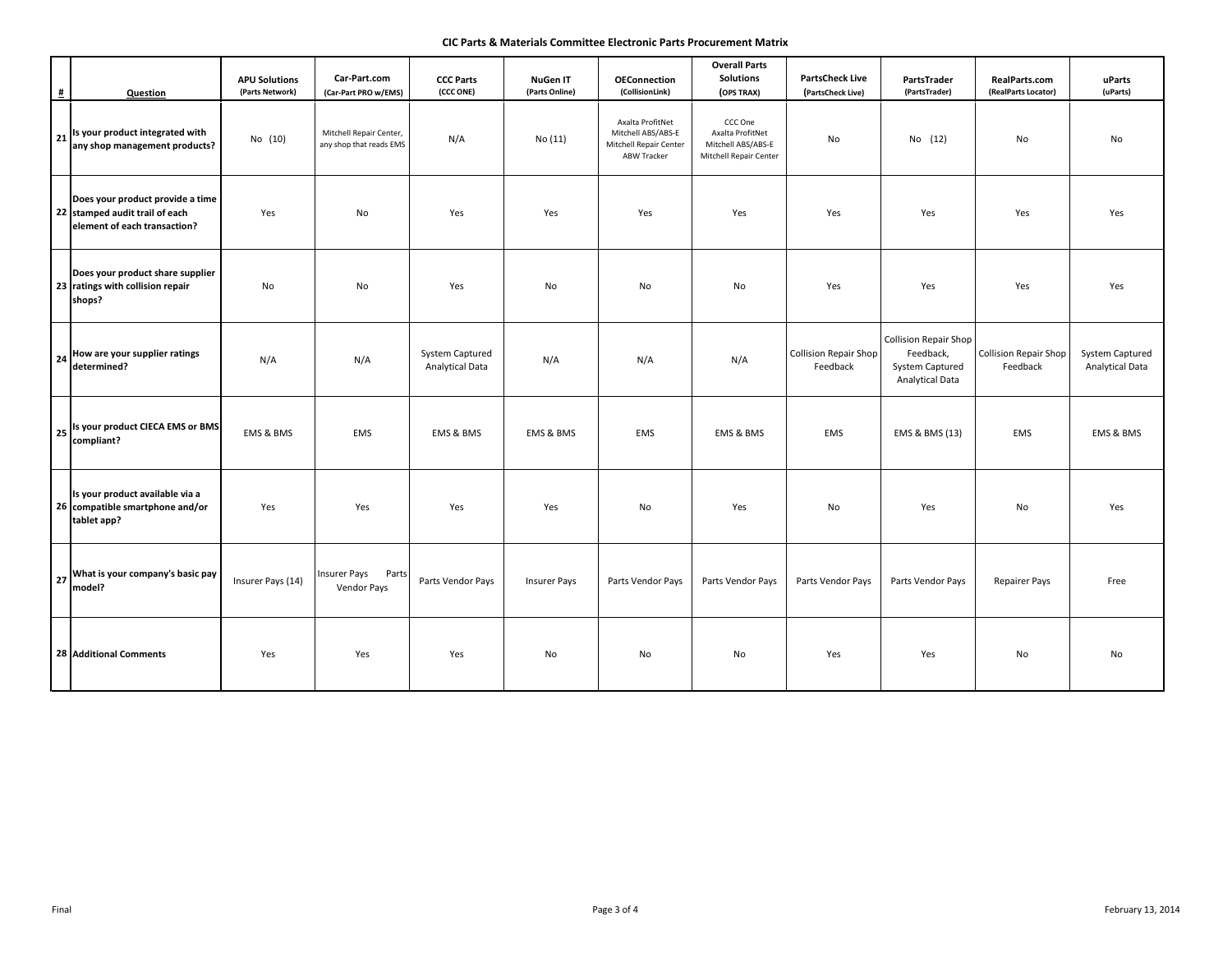# **CIC Parts & Materials Committee Electronic Parts Procurement Matrix**

| #          | <b>Question</b>                                                                                    | <b>APU Solutions</b><br>(Parts Network) | Car-Part.com<br>(Car-Part PRO w/EMS)               | <b>CCC Parts</b><br>(CCC ONE)                    | <b>NuGen IT</b><br>(Parts Online) | <b>OEConnection</b><br>(CollisionLink)                                          | <b>Overall Parts</b><br><b>Solutions</b><br>(OPS TRAX)                      | <b>PartsCheck Live</b><br>(PartsCheck Live) | PartsTrader<br>(PartsTrader)                                                           | RealParts.com<br>(RealParts Locator)     | uParts<br>(uParts)                 |
|------------|----------------------------------------------------------------------------------------------------|-----------------------------------------|----------------------------------------------------|--------------------------------------------------|-----------------------------------|---------------------------------------------------------------------------------|-----------------------------------------------------------------------------|---------------------------------------------|----------------------------------------------------------------------------------------|------------------------------------------|------------------------------------|
|            | 21 Is your product integrated with<br>any shop management products?                                | No (10)                                 | Mitchell Repair Center,<br>any shop that reads EMS | N/A                                              | No (11)                           | Axalta ProfitNet<br>Mitchell ABS/ABS-E<br>Mitchell Repair Center<br>ABW Tracker | CCC One<br>Axalta ProfitNet<br>Mitchell ABS/ABS-E<br>Mitchell Repair Center | No                                          | No (12)                                                                                | No                                       | No                                 |
|            | Does your product provide a time<br>22 stamped audit trail of each<br>element of each transaction? | Yes                                     | No                                                 | Yes                                              | Yes                               | Yes                                                                             | Yes                                                                         | Yes                                         | Yes                                                                                    | Yes                                      | Yes                                |
|            | Does your product share supplier<br>23 ratings with collision repair<br>shops?                     | No                                      | No                                                 | Yes                                              | No                                | No                                                                              | No                                                                          | Yes                                         | Yes                                                                                    | Yes                                      | Yes                                |
| ${\bf 24}$ | How are your supplier ratings<br>determined?                                                       | N/A                                     | N/A                                                | <b>System Captured</b><br><b>Analytical Data</b> | N/A                               | N/A                                                                             | N/A                                                                         | Collision Repair Shop<br>Feedback           | <b>Collision Repair Shop</b><br>Feedback,<br>System Captured<br><b>Analytical Data</b> | <b>Collision Repair Shop</b><br>Feedback | System Captured<br>Analytical Data |
|            | 25 Is your product CIECA EMS or BMS<br>compliant?                                                  | EMS & BMS                               | EMS                                                | EMS & BMS                                        | EMS & BMS                         | EMS                                                                             | EMS & BMS                                                                   | EMS                                         | EMS & BMS (13)                                                                         | EMS                                      | EMS & BMS                          |
|            | Is your product available via a<br>26 compatible smartphone and/or<br>tablet app?                  | Yes                                     | Yes                                                | Yes                                              | Yes                               | No                                                                              | Yes                                                                         | No                                          | Yes                                                                                    | No                                       | Yes                                |
|            | 27 What is your company's basic pay<br>model?                                                      | Insurer Pays (14)                       | <b>Insurer Pays</b><br>Parts<br>Vendor Pays        | Parts Vendor Pays                                | <b>Insurer Pays</b>               | Parts Vendor Pays                                                               | Parts Vendor Pays                                                           | Parts Vendor Pays                           | Parts Vendor Pays                                                                      | <b>Repairer Pays</b>                     | Free                               |
|            | <b>28 Additional Comments</b>                                                                      | Yes                                     | Yes                                                | Yes                                              | No                                | No                                                                              | No                                                                          | Yes                                         | Yes                                                                                    | No                                       | No                                 |